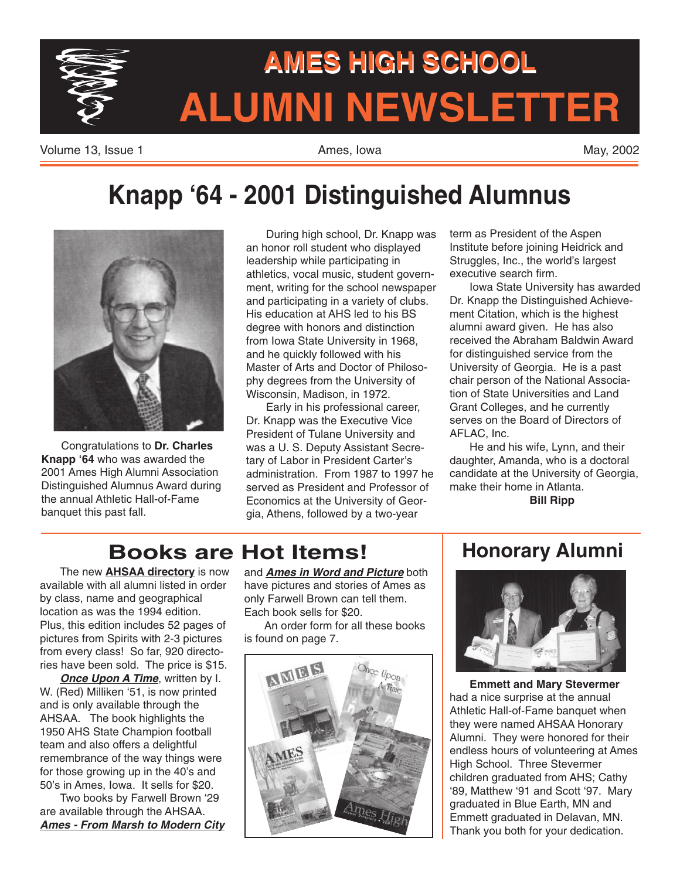

# AMES HIGH SCHOOL AMES HIGH SCHOOL AMES HIGH SCHOOL HIGH SCHOOL **AMES HIGH SCHOOL**AMES HIGH SCHOOL<br>ALUMNI NEWSLETTER

Volume 13, Issue 1 **Ames, Iowa** May, 2002 **May, 2002** 

# **Knapp '64 - 2001 Distinguished Alumnus**



Congratulations to **Dr. Charles Knapp '64** who was awarded the 2001 Ames High Alumni Association Distinguished Alumnus Award during the annual Athletic Hall-of-Fame banquet this past fall.

During high school, Dr. Knapp was an honor roll student who displayed leadership while participating in athletics, vocal music, student government, writing for the school newspaper and participating in a variety of clubs. His education at AHS led to his BS degree with honors and distinction from Iowa State University in 1968, and he quickly followed with his Master of Arts and Doctor of Philosophy degrees from the University of Wisconsin, Madison, in 1972.

Early in his professional career, Dr. Knapp was the Executive Vice President of Tulane University and was a U. S. Deputy Assistant Secretary of Labor in President Carter's administration. From 1987 to 1997 he served as President and Professor of Economics at the University of Georgia, Athens, followed by a two-year

term as President of the Aspen Institute before joining Heidrick and Struggles, Inc., the world's largest executive search firm.

Iowa State University has awarded Dr. Knapp the Distinguished Achievement Citation, which is the highest alumni award given. He has also received the Abraham Baldwin Award for distinguished service from the University of Georgia. He is a past chair person of the National Association of State Universities and Land Grant Colleges, and he currently serves on the Board of Directors of AFLAC, Inc.

He and his wife, Lynn, and their daughter, Amanda, who is a doctoral candidate at the University of Georgia, make their home in Atlanta.

**Bill Ripp**

# **Books are Hot Items!**

The new **AHSAA directory** is now available with all alumni listed in order by class, name and geographical location as was the 1994 edition. Plus, this edition includes 52 pages of pictures from Spirits with 2-3 pictures from every class! So far, 920 directories have been sold. The price is \$15.

**Once Upon A Time, written by I.** W. (Red) Milliken '51, is now printed and is only available through the AHSAA. The book highlights the 1950 AHS State Champion football team and also offers a delightful remembrance of the way things were for those growing up in the 40's and 50's in Ames, Iowa. It sells for \$20.

Two books by Farwell Brown '29 are available through the AHSAA. **Ames - From Marsh to Modern City** and **Ames in Word and Picture** both have pictures and stories of Ames as only Farwell Brown can tell them. Each book sells for \$20.

An order form for all these books is found on page 7.



### **Honorary Alumni**



**Emmett and Mary Stevermer** had a nice surprise at the annual Athletic Hall-of-Fame banquet when they were named AHSAA Honorary Alumni. They were honored for their endless hours of volunteering at Ames High School. Three Stevermer children graduated from AHS; Cathy '89, Matthew '91 and Scott '97. Mary graduated in Blue Earth, MN and Emmett graduated in Delavan, MN. Thank you both for your dedication.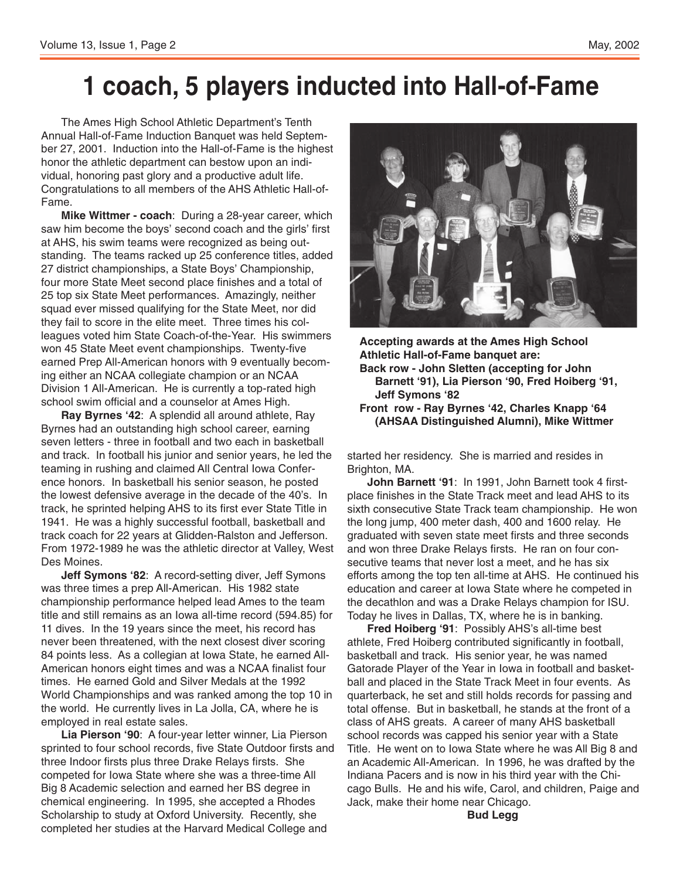# **1 coach, 5 players inducted into Hall-of-Fame**

The Ames High School Athletic Department's Tenth Annual Hall-of-Fame Induction Banquet was held September 27, 2001. Induction into the Hall-of-Fame is the highest honor the athletic department can bestow upon an individual, honoring past glory and a productive adult life. Congratulations to all members of the AHS Athletic Hall-of-Fame.

**Mike Wittmer - coach**: During a 28-year career, which saw him become the boys' second coach and the girls' first at AHS, his swim teams were recognized as being outstanding. The teams racked up 25 conference titles, added 27 district championships, a State Boys' Championship, four more State Meet second place finishes and a total of 25 top six State Meet performances. Amazingly, neither squad ever missed qualifying for the State Meet, nor did they fail to score in the elite meet. Three times his colleagues voted him State Coach-of-the-Year. His swimmers won 45 State Meet event championships. Twenty-five earned Prep All-American honors with 9 eventually becoming either an NCAA collegiate champion or an NCAA Division 1 All-American. He is currently a top-rated high school swim official and a counselor at Ames High.

**Ray Byrnes '42**: A splendid all around athlete, Ray Byrnes had an outstanding high school career, earning seven letters - three in football and two each in basketball and track. In football his junior and senior years, he led the teaming in rushing and claimed All Central Iowa Conference honors. In basketball his senior season, he posted the lowest defensive average in the decade of the 40's. In track, he sprinted helping AHS to its first ever State Title in 1941. He was a highly successful football, basketball and track coach for 22 years at Glidden-Ralston and Jefferson. From 1972-1989 he was the athletic director at Valley, West Des Moines.

**Jeff Symons '82**: A record-setting diver, Jeff Symons was three times a prep All-American. His 1982 state championship performance helped lead Ames to the team title and still remains as an Iowa all-time record (594.85) for 11 dives. In the 19 years since the meet, his record has never been threatened, with the next closest diver scoring 84 points less. As a collegian at Iowa State, he earned All-American honors eight times and was a NCAA finalist four times. He earned Gold and Silver Medals at the 1992 World Championships and was ranked among the top 10 in the world. He currently lives in La Jolla, CA, where he is employed in real estate sales.

**Lia Pierson '90**: A four-year letter winner, Lia Pierson sprinted to four school records, five State Outdoor firsts and three Indoor firsts plus three Drake Relays firsts. She competed for Iowa State where she was a three-time All Big 8 Academic selection and earned her BS degree in chemical engineering. In 1995, she accepted a Rhodes Scholarship to study at Oxford University. Recently, she completed her studies at the Harvard Medical College and



**Accepting awards at the Ames High School Athletic Hall-of-Fame banquet are: Back row - John Sletten (accepting for John Barnett '91), Lia Pierson '90, Fred Hoiberg '91, Jeff Symons '82 Front row - Ray Byrnes '42, Charles Knapp '64 (AHSAA Distinguished Alumni), Mike Wittmer**

started her residency. She is married and resides in Brighton, MA.

**John Barnett '91**: In 1991, John Barnett took 4 firstplace finishes in the State Track meet and lead AHS to its sixth consecutive State Track team championship. He won the long jump, 400 meter dash, 400 and 1600 relay. He graduated with seven state meet firsts and three seconds and won three Drake Relays firsts. He ran on four consecutive teams that never lost a meet, and he has six efforts among the top ten all-time at AHS. He continued his education and career at Iowa State where he competed in the decathlon and was a Drake Relays champion for ISU. Today he lives in Dallas, TX, where he is in banking.

**Fred Hoiberg '91**: Possibly AHS's all-time best athlete, Fred Hoiberg contributed significantly in football, basketball and track. His senior year, he was named Gatorade Player of the Year in Iowa in football and basketball and placed in the State Track Meet in four events. As quarterback, he set and still holds records for passing and total offense. But in basketball, he stands at the front of a class of AHS greats. A career of many AHS basketball school records was capped his senior year with a State Title. He went on to Iowa State where he was All Big 8 and an Academic All-American. In 1996, he was drafted by the Indiana Pacers and is now in his third year with the Chicago Bulls. He and his wife, Carol, and children, Paige and Jack, make their home near Chicago.

**Bud Legg**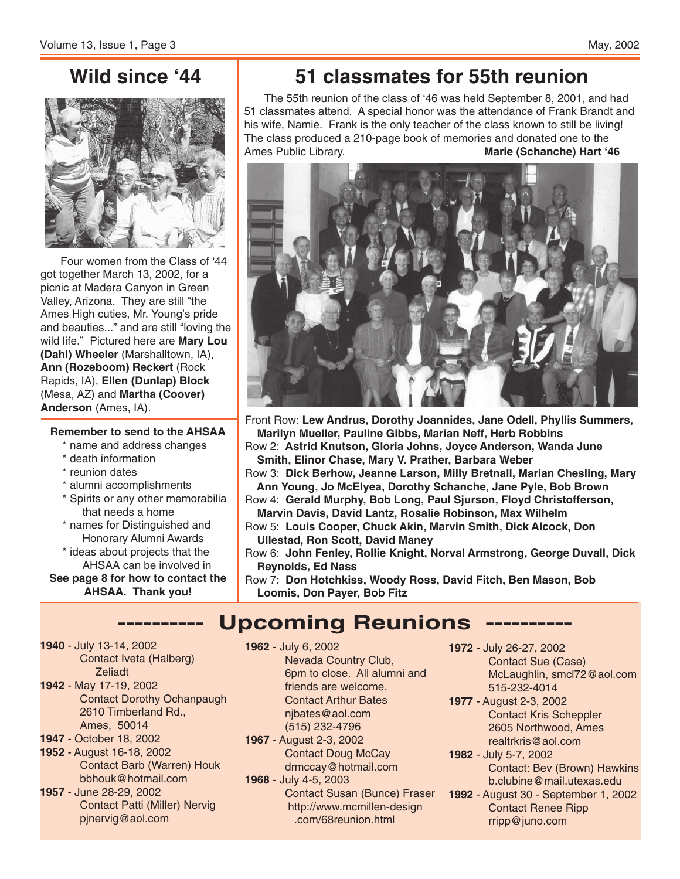### **Wild since '44**



Four women from the Class of '44 got together March 13, 2002, for a picnic at Madera Canyon in Green Valley, Arizona. They are still "the Ames High cuties, Mr. Young's pride and beauties..." and are still "loving the wild life." Pictured here are **Mary Lou (Dahl) Wheeler** (Marshalltown, IA), **Ann (Rozeboom) Reckert** (Rock Rapids, IA), **Ellen (Dunlap) Block** (Mesa, AZ) and **Martha (Coover) Anderson** (Ames, IA).

#### **Remember to send to the AHSAA**

- \* name and address changes
- \* death information
- \* reunion dates
- \* alumni accomplishments
- \* Spirits or any other memorabilia that needs a home
- \* names for Distinguished and Honorary Alumni Awards

\* ideas about projects that the AHSAA can be involved in **See page 8 for how to contact the**

**AHSAA. Thank you!**

**1940** - July 13-14, 2002 Contact Iveta (Halberg) **Zeliadt 1942** - May 17-19, 2002

- Contact Dorothy Ochanpaugh 2610 Timberland Rd., Ames, 50014
- **1947** October 18, 2002
- **1952** August 16-18, 2002 Contact Barb (Warren) Houk bbhouk@hotmail.com
- **1957** June 28-29, 2002 Contact Patti (Miller) Nervig pjnervig@aol.com

# **51 classmates for 55th reunion**

The 55th reunion of the class of '46 was held September 8, 2001, and had 51 classmates attend. A special honor was the attendance of Frank Brandt and his wife, Namie. Frank is the only teacher of the class known to still be living! The class produced a 210-page book of memories and donated one to the Ames Public Library. **Marie (Schanche) Hart '46**



Front Row: **Lew Andrus, Dorothy Joannides, Jane Odell, Phyllis Summers, Marilyn Mueller, Pauline Gibbs, Marian Neff, Herb Robbins**

Row 2: **Astrid Knutson, Gloria Johns, Joyce Anderson, Wanda June Smith, Elinor Chase, Mary V. Prather, Barbara Weber**

Row 3: **Dick Berhow, Jeanne Larson, Milly Bretnall, Marian Chesling, Mary Ann Young, Jo McElyea, Dorothy Schanche, Jane Pyle, Bob Brown**

Row 4: **Gerald Murphy, Bob Long, Paul Sjurson, Floyd Christofferson, Marvin Davis, David Lantz, Rosalie Robinson, Max Wilhelm**

- Row 5: **Louis Cooper, Chuck Akin, Marvin Smith, Dick Alcock, Don Ullestad, Ron Scott, David Maney**
- Row 6: **John Fenley, Rollie Knight, Norval Armstrong, George Duvall, Dick Reynolds, Ed Nass**
- Row 7: **Don Hotchkiss, Woody Ross, David Fitch, Ben Mason, Bob Loomis, Don Payer, Bob Fitz**

# **---------- Upcoming Reunions ----------**

**1962** - July 6, 2002 Nevada Country Club, 6pm to close. All alumni and friends are welcome. Contact Arthur Bates njbates@aol.com

- (515) 232-4796
- **1967** August 2-3, 2002 Contact Doug McCay drmccay@hotmail.com
- **1968** July 4-5, 2003 Contact Susan (Bunce) Fraser http://www.mcmillen-design .com/68reunion.html

**1972** - July 26-27, 2002 Contact Sue (Case) McLaughlin, smcl72@aol.com 515-232-4014

- **1977** August 2-3, 2002 Contact Kris Scheppler 2605 Northwood, Ames realtrkris@aol.com
- **1982** July 5-7, 2002 Contact: Bev (Brown) Hawkins b.clubine@mail.utexas.edu
- **1992** August 30 September 1, 2002 Contact Renee Ripp rripp@juno.com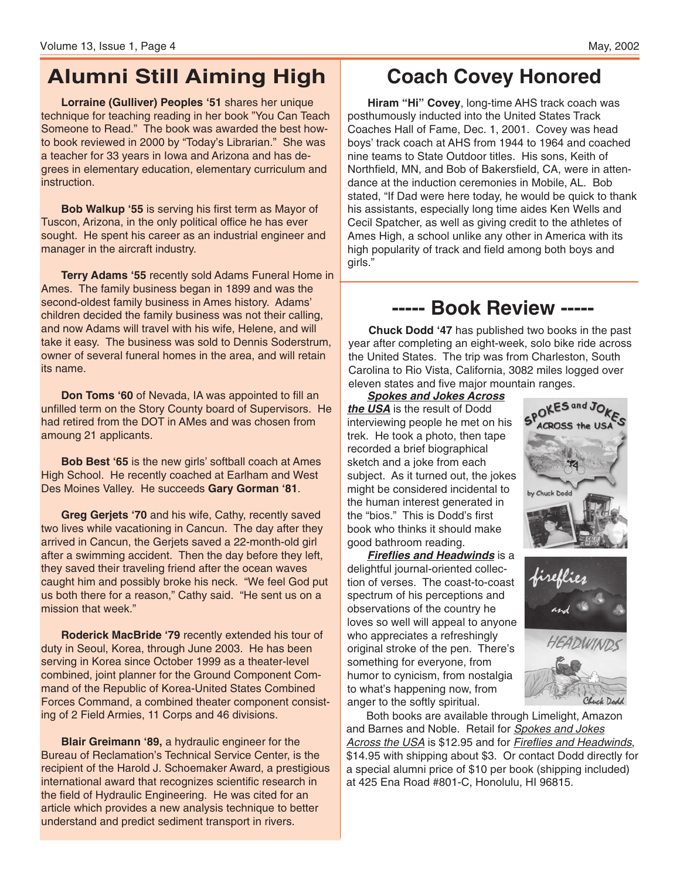# **Alumni Still Aiming High**

**Lorraine (Gulliver) Peoples '51** shares her unique technique for teaching reading in her book "You Can Teach Someone to Read." The book was awarded the best howto book reviewed in 2000 by "Today's Librarian." She was a teacher for 33 years in Iowa and Arizona and has degrees in elementary education, elementary curriculum and instruction.

**Bob Walkup '55** is serving his first term as Mayor of Tuscon, Arizona, in the only political office he has ever sought. He spent his career as an industrial engineer and manager in the aircraft industry.

**Terry Adams '55** recently sold Adams Funeral Home in Ames. The family business began in 1899 and was the second-oldest family business in Ames history. Adams' children decided the family business was not their calling, and now Adams will travel with his wife, Helene, and will take it easy. The business was sold to Dennis Soderstrum, owner of several funeral homes in the area, and will retain its name.

**Don Toms '60** of Nevada, IA was appointed to fill an unfilled term on the Story County board of Supervisors. He had retired from the DOT in AMes and was chosen from amoung 21 applicants.

**Bob Best '65** is the new girls' softball coach at Ames High School. He recently coached at Earlham and West Des Moines Valley. He succeeds **Gary Gorman '81**.

**Greg Gerjets '70** and his wife, Cathy, recently saved two lives while vacationing in Cancun. The day after they arrived in Cancun, the Gerjets saved a 22-month-old girl after a swimming accident. Then the day before they left, they saved their traveling friend after the ocean waves caught him and possibly broke his neck. "We feel God put us both there for a reason," Cathy said. "He sent us on a mission that week."

**Roderick MacBride '79** recently extended his tour of duty in Seoul, Korea, through June 2003. He has been serving in Korea since October 1999 as a theater-level combined, joint planner for the Ground Component Command of the Republic of Korea-United States Combined Forces Command, a combined theater component consisting of 2 Field Armies, 11 Corps and 46 divisions.

**Blair Greimann '89,** a hydraulic engineer for the Bureau of Reclamation's Technical Service Center, is the recipient of the Harold J. Schoemaker Award, a prestigious international award that recognizes scientific research in the field of Hydraulic Engineering. He was cited for an article which provides a new analysis technique to better understand and predict sediment transport in rivers.

# **Coach Covey Honored**

**Hiram "Hi" Covey**, long-time AHS track coach was posthumously inducted into the United States Track Coaches Hall of Fame, Dec. 1, 2001. Covey was head boys' track coach at AHS from 1944 to 1964 and coached nine teams to State Outdoor titles. His sons, Keith of Northfield, MN, and Bob of Bakersfield, CA, were in attendance at the induction ceremonies in Mobile, AL. Bob stated, "If Dad were here today, he would be quick to thank his assistants, especially long time aides Ken Wells and Cecil Spatcher, as well as giving credit to the athletes of Ames High, a school unlike any other in America with its high popularity of track and field among both boys and girls."

# **----- Book Review -----**

**Chuck Dodd '47** has published two books in the past year after completing an eight-week, solo bike ride across the United States. The trip was from Charleston, South Carolina to Rio Vista, California, 3082 miles logged over eleven states and five major mountain ranges.

**Spokes and Jokes Across the USA** is the result of Dodd interviewing people he met on his trek. He took a photo, then tape recorded a brief biographical sketch and a joke from each subject. As it turned out, the jokes might be considered incidental to the human interest generated in the "bios." This is Dodd's first book who thinks it should make good bathroom reading.

**Fireflies and Headwinds** is a delightful journal-oriented collection of verses. The coast-to-coast spectrum of his perceptions and observations of the country he loves so well will appeal to anyone who appreciates a refreshingly original stroke of the pen. There's something for everyone, from humor to cynicism, from nostalgia to what's happening now, from anger to the softly spiritual.

Both books are available through Limelight, Amazon and Barnes and Noble. Retail for **Spokes and Jokes** Across the USA is \$12.95 and for Fireflies and Headwinds, \$14.95 with shipping about \$3. Or contact Dodd directly for a special alumni price of \$10 per book (shipping included) at 425 Ena Road #801-C, Honolulu, HI 96815.



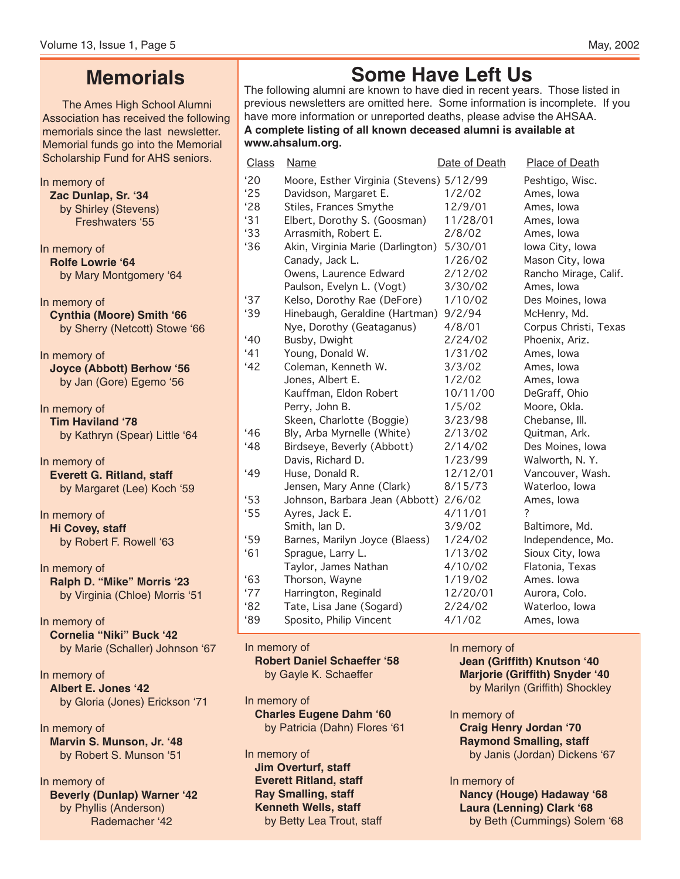# **Memorials**

The Ames High School Alumni Association has received the following memorials since the last newsletter. Memorial funds go into the Memorial Scholarship Fund for AHS seniors.

In memory of **Zac Dunlap, Sr. '34** by Shirley (Stevens) Freshwaters '55 In memory of **Rolfe Lowrie '64** by Mary Montgomery '64 In memory of **Cynthia (Moore) Smith '66** by Sherry (Netcott) Stowe '66 In memory of **Joyce (Abbott) Berhow '56** by Jan (Gore) Egemo '56 In memory of **Tim Haviland '78** by Kathryn (Spear) Little '64 In memory of **Everett G. Ritland, staff** by Margaret (Lee) Koch '59 In memory of **Hi Covey, staff** by Robert F. Rowell '63 In memory of **Ralph D. "Mike" Morris '23** by Virginia (Chloe) Morris '51

In memory of **Cornelia "Niki" Buck '42** by Marie (Schaller) Johnson '67

In memory of **Albert E. Jones '42** by Gloria (Jones) Erickson '71

In memory of **Marvin S. Munson, Jr. '48** by Robert S. Munson '51

In memory of **Beverly (Dunlap) Warner '42** by Phyllis (Anderson) Rademacher '42

# **Some Have Left Us**

The following alumni are known to have died in recent years. Those listed in previous newsletters are omitted here. Some information is incomplete. If you have more information or unreported deaths, please advise the AHSAA. **A complete listing of all known deceased alumni is available at www.ahsalum.org.**

| Class        | Name                                     | Date of Death | Place of Death        |
|--------------|------------------------------------------|---------------|-----------------------|
| '20          | Moore, Esther Virginia (Stevens) 5/12/99 |               | Peshtigo, Wisc.       |
| '25          | Davidson, Margaret E.                    | 1/2/02        | Ames, Iowa            |
| '28          | Stiles, Frances Smythe                   | 12/9/01       | Ames, Iowa            |
| 31           | Elbert, Dorothy S. (Goosman)             | 11/28/01      | Ames, Iowa            |
| 33           | Arrasmith, Robert E.                     | 2/8/02        | Ames, Iowa            |
| 36           | Akin, Virginia Marie (Darlington)        | 5/30/01       | lowa City, lowa       |
|              | Canady, Jack L.                          | 1/26/02       | Mason City, Iowa      |
|              | Owens, Laurence Edward                   | 2/12/02       | Rancho Mirage, Calif. |
|              | Paulson, Evelyn L. (Vogt)                | 3/30/02       | Ames, Iowa            |
| '37          | Kelso, Dorothy Rae (DeFore)              | 1/10/02       | Des Moines, Iowa      |
| 39           | Hinebaugh, Geraldine (Hartman)           | 9/2/94        | McHenry, Md.          |
|              | Nye, Dorothy (Geataganus)                | 4/8/01        | Corpus Christi, Texas |
| $40^{\circ}$ | Busby, Dwight                            | 2/24/02       | Phoenix, Ariz.        |
| 41           | Young, Donald W.                         | 1/31/02       | Ames, Iowa            |
| 42           | Coleman, Kenneth W.                      | 3/3/02        | Ames, Iowa            |
|              | Jones, Albert E.                         | 1/2/02        | Ames, Iowa            |
|              | Kauffman, Eldon Robert                   | 10/11/00      | DeGraff, Ohio         |
|              | Perry, John B.                           | 1/5/02        | Moore, Okla.          |
|              | Skeen, Charlotte (Boggie)                | 3/23/98       | Chebanse, Ill.        |
| 46           | Bly, Arba Myrnelle (White)               | 2/13/02       | Quitman, Ark.         |
| 48           | Birdseye, Beverly (Abbott)               | 2/14/02       | Des Moines, Iowa      |
|              | Davis, Richard D.                        | 1/23/99       | Walworth, N.Y.        |
| 49           | Huse, Donald R.                          | 12/12/01      | Vancouver, Wash.      |
|              | Jensen, Mary Anne (Clark)                | 8/15/73       | Waterloo, Iowa        |
| 53           | Johnson, Barbara Jean (Abbott)           | 2/6/02        | Ames, Iowa            |
| 55           | Ayres, Jack E.                           | 4/11/01       | ?                     |
|              | Smith, Ian D.                            | 3/9/02        | Baltimore, Md.        |
| '59          | Barnes, Marilyn Joyce (Blaess)           | 1/24/02       | Independence, Mo.     |
| 61           | Sprague, Larry L.                        | 1/13/02       | Sioux City, Iowa      |
|              | Taylor, James Nathan                     | 4/10/02       | Flatonia, Texas       |
| 63           | Thorson, Wayne                           | 1/19/02       | Ames. Iowa            |
| '77          | Harrington, Reginald                     | 12/20/01      | Aurora, Colo.         |
| 82           | Tate, Lisa Jane (Sogard)                 | 2/24/02       | Waterloo, Iowa        |
| 89           | Sposito, Philip Vincent                  | 4/1/02        | Ames, Iowa            |
|              |                                          |               |                       |

In memory of

#### **Robert Daniel Schaeffer '58** by Gayle K. Schaeffer

In memory of **Charles Eugene Dahm '60** by Patricia (Dahn) Flores '61

In memory of **Jim Overturf, staff Everett Ritland, staff Ray Smalling, staff Kenneth Wells, staff** by Betty Lea Trout, staff In memory of **Jean (Griffith) Knutson '40 Marjorie (Griffith) Snyder '40** by Marilyn (Griffith) Shockley

In memory of **Craig Henry Jordan '70 Raymond Smalling, staff** by Janis (Jordan) Dickens '67

In memory of **Nancy (Houge) Hadaway '68 Laura (Lenning) Clark '68** by Beth (Cummings) Solem '68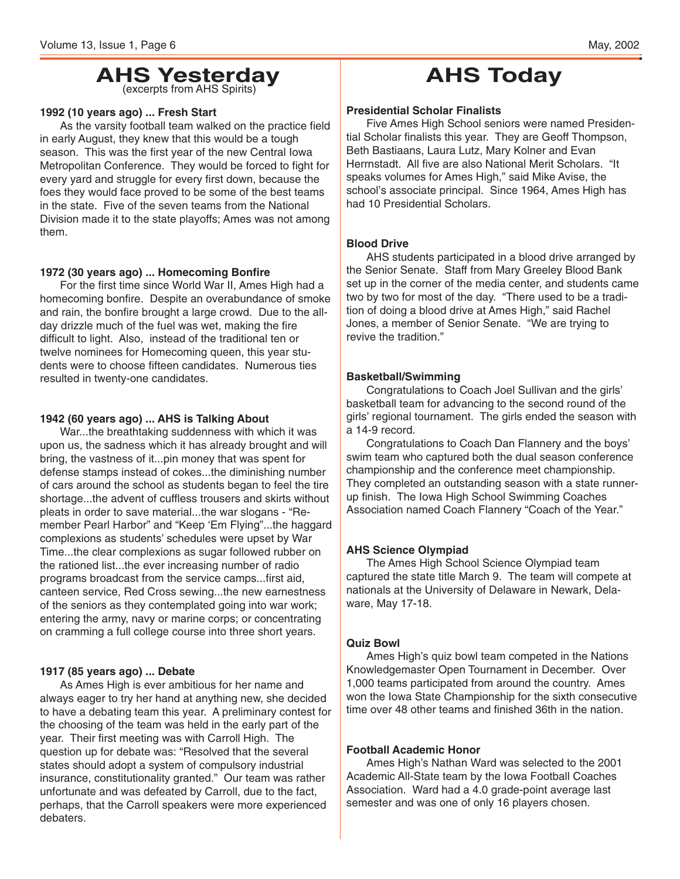# **AHS Yesterday** (excerpts from AHS Spirits)

#### **1992 (10 years ago) ... Fresh Start**

As the varsity football team walked on the practice field in early August, they knew that this would be a tough season. This was the first year of the new Central Iowa Metropolitan Conference. They would be forced to fight for every yard and struggle for every first down, because the foes they would face proved to be some of the best teams in the state. Five of the seven teams from the National Division made it to the state playoffs; Ames was not among them.

#### **1972 (30 years ago) ... Homecoming Bonfire**

For the first time since World War II, Ames High had a homecoming bonfire. Despite an overabundance of smoke and rain, the bonfire brought a large crowd. Due to the allday drizzle much of the fuel was wet, making the fire difficult to light. Also, instead of the traditional ten or twelve nominees for Homecoming queen, this year students were to choose fifteen candidates. Numerous ties resulted in twenty-one candidates.

#### **1942 (60 years ago) ... AHS is Talking About**

War...the breathtaking suddenness with which it was upon us, the sadness which it has already brought and will bring, the vastness of it...pin money that was spent for defense stamps instead of cokes...the diminishing number of cars around the school as students began to feel the tire shortage...the advent of cuffless trousers and skirts without pleats in order to save material...the war slogans - "Remember Pearl Harbor" and "Keep 'Em Flying"...the haggard complexions as students' schedules were upset by War Time...the clear complexions as sugar followed rubber on the rationed list...the ever increasing number of radio programs broadcast from the service camps...first aid, canteen service, Red Cross sewing...the new earnestness of the seniors as they contemplated going into war work; entering the army, navy or marine corps; or concentrating on cramming a full college course into three short years.

#### **1917 (85 years ago) ... Debate**

As Ames High is ever ambitious for her name and always eager to try her hand at anything new, she decided to have a debating team this year. A preliminary contest for the choosing of the team was held in the early part of the year. Their first meeting was with Carroll High. The question up for debate was: "Resolved that the several states should adopt a system of compulsory industrial insurance, constitutionality granted." Our team was rather unfortunate and was defeated by Carroll, due to the fact, perhaps, that the Carroll speakers were more experienced debaters.

# **AHS Today**

#### **Presidential Scholar Finalists**

Five Ames High School seniors were named Presidential Scholar finalists this year. They are Geoff Thompson, Beth Bastiaans, Laura Lutz, Mary Kolner and Evan Herrnstadt. All five are also National Merit Scholars. "It speaks volumes for Ames High," said Mike Avise, the school's associate principal. Since 1964, Ames High has had 10 Presidential Scholars.

#### **Blood Drive**

AHS students participated in a blood drive arranged by the Senior Senate. Staff from Mary Greeley Blood Bank set up in the corner of the media center, and students came two by two for most of the day. "There used to be a tradition of doing a blood drive at Ames High," said Rachel Jones, a member of Senior Senate. "We are trying to revive the tradition."

#### **Basketball/Swimming**

Congratulations to Coach Joel Sullivan and the girls' basketball team for advancing to the second round of the girls' regional tournament. The girls ended the season with a 14-9 record.

Congratulations to Coach Dan Flannery and the boys' swim team who captured both the dual season conference championship and the conference meet championship. They completed an outstanding season with a state runnerup finish. The Iowa High School Swimming Coaches Association named Coach Flannery "Coach of the Year."

#### **AHS Science Olympiad**

The Ames High School Science Olympiad team captured the state title March 9. The team will compete at nationals at the University of Delaware in Newark, Delaware, May 17-18.

#### **Quiz Bowl**

Ames High's quiz bowl team competed in the Nations Knowledgemaster Open Tournament in December. Over 1,000 teams participated from around the country. Ames won the Iowa State Championship for the sixth consecutive time over 48 other teams and finished 36th in the nation.

#### **Football Academic Honor**

Ames High's Nathan Ward was selected to the 2001 Academic All-State team by the Iowa Football Coaches Association. Ward had a 4.0 grade-point average last semester and was one of only 16 players chosen.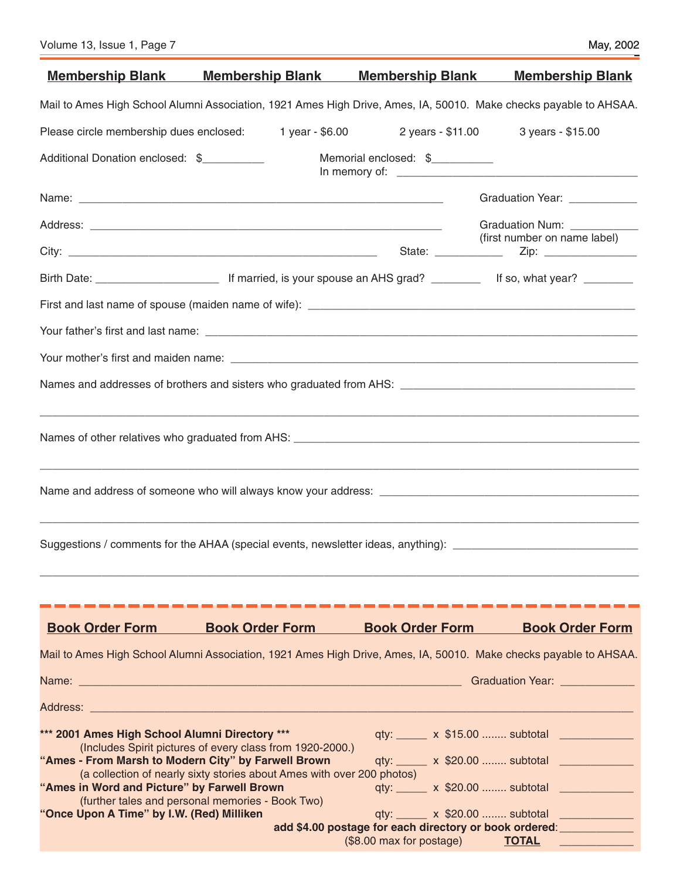| <b>Membership Blank</b>                                                                                                                                                                           | <b>Membership Blank</b>                                                                                                                                                                 | <b>Membership Blank</b>         | <b>Membership Blank</b>                                                                                                                                                                                              |
|---------------------------------------------------------------------------------------------------------------------------------------------------------------------------------------------------|-----------------------------------------------------------------------------------------------------------------------------------------------------------------------------------------|---------------------------------|----------------------------------------------------------------------------------------------------------------------------------------------------------------------------------------------------------------------|
|                                                                                                                                                                                                   | Mail to Ames High School Alumni Association, 1921 Ames High Drive, Ames, IA, 50010. Make checks payable to AHSAA.                                                                       |                                 |                                                                                                                                                                                                                      |
|                                                                                                                                                                                                   | Please circle membership dues enclosed: 1 year - \$6.00 2 years - \$11.00 3 years - \$15.00                                                                                             |                                 |                                                                                                                                                                                                                      |
| Additional Donation enclosed: \$                                                                                                                                                                  |                                                                                                                                                                                         | Memorial enclosed: \$__________ |                                                                                                                                                                                                                      |
|                                                                                                                                                                                                   |                                                                                                                                                                                         |                                 | Graduation Year: ____________                                                                                                                                                                                        |
|                                                                                                                                                                                                   |                                                                                                                                                                                         |                                 | Graduation Num: ___________                                                                                                                                                                                          |
|                                                                                                                                                                                                   |                                                                                                                                                                                         |                                 | (first number on name label)                                                                                                                                                                                         |
|                                                                                                                                                                                                   |                                                                                                                                                                                         |                                 |                                                                                                                                                                                                                      |
|                                                                                                                                                                                                   |                                                                                                                                                                                         |                                 |                                                                                                                                                                                                                      |
|                                                                                                                                                                                                   |                                                                                                                                                                                         |                                 |                                                                                                                                                                                                                      |
|                                                                                                                                                                                                   |                                                                                                                                                                                         |                                 |                                                                                                                                                                                                                      |
|                                                                                                                                                                                                   |                                                                                                                                                                                         |                                 |                                                                                                                                                                                                                      |
|                                                                                                                                                                                                   |                                                                                                                                                                                         |                                 |                                                                                                                                                                                                                      |
|                                                                                                                                                                                                   |                                                                                                                                                                                         |                                 |                                                                                                                                                                                                                      |
|                                                                                                                                                                                                   | Suggestions / comments for the AHAA (special events, newsletter ideas, anything): ____________________________                                                                          |                                 |                                                                                                                                                                                                                      |
| <b>Book Order Form</b>                                                                                                                                                                            | <b>Book Order Form</b>                                                                                                                                                                  | <b>Book Order Form</b>          | <b>Book Order Form</b>                                                                                                                                                                                               |
|                                                                                                                                                                                                   | Mail to Ames High School Alumni Association, 1921 Ames High Drive, Ames, IA, 50010. Make checks payable to AHSAA.                                                                       |                                 |                                                                                                                                                                                                                      |
|                                                                                                                                                                                                   |                                                                                                                                                                                         |                                 | Graduation Year: ______________                                                                                                                                                                                      |
|                                                                                                                                                                                                   |                                                                                                                                                                                         |                                 |                                                                                                                                                                                                                      |
| *** 2001 Ames High School Alumni Directory ***<br>"Ames - From Marsh to Modern City" by Farwell Brown<br>"Ames in Word and Picture" by Farwell Brown<br>"Once Upon A Time" by I.W. (Red) Milliken | (Includes Spirit pictures of every class from 1920-2000.)<br>(a collection of nearly sixty stories about Ames with over 200 photos)<br>(further tales and personal memories - Book Two) |                                 | qty: ______ x \$15.00  subtotal _____________<br>qty: ______ x \$20.00  subtotal ____________<br>qty: ______ x \$20.00  subtotal _____________<br>add \$4.00 postage for each directory or book ordered: ___________ |
|                                                                                                                                                                                                   |                                                                                                                                                                                         | (\$8.00 max for postage)        | <b>TOTAL</b>                                                                                                                                                                                                         |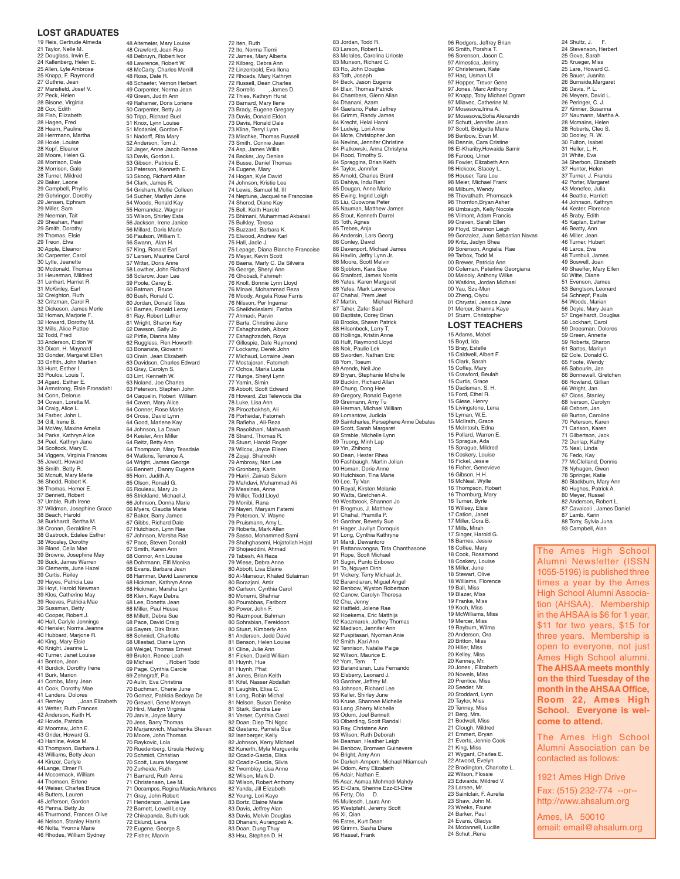#### **LOST GRADUATES**

19 Reis, Gertrude Almeda<br>21 Tavlor, Nelle M 21 Taylor, Nelle M. 22 Douglass, Irwin E. 24 Kallenberg, Helen E. 25 Allen, Lyle Ambrose 25 Knapp, F. Raymond 27 Guthrie, Jean 27 Mansfield, Josef V. 27 Peck, Helen 28 Bisone, Virginia 28 Cox, Edith 28 Fish, Elizabeth 28 Hagen, Fred 28 Hearn, Pauline 28 Herrmann, Martha 28 Hoxie, Louise 28 Kopf, Eleanor 28 Moore, Helen G. 28 Morrison, Dale 28 Morrison, Gale 28 Turner, Mildred zo Turner, iwildre<br>29 Baker, Leone 29 Campbell, Phyllis 29 Gehringer, Dorothy 29 Jensen, Ephram 29 Miller, Sam 29 Neeman, Tait 29 Sheahan, Pearl 29 Smith, Dorothy 29 Thomas, Elsie 29 Treon, Elva 30 Apple, Eleanor 30 Carpenter, Carol 30 Lytle, Jeanette 30 Mcdonald, Thomas 31 Heuerman, Mildred 31 Lenhart, Harriet R. 31 McKinley, Earl 32 Creighton, Ruth 32 Critzman, Carol R. 32 Dickeson, James Merle 32 Homan, Marjorie F. 32 Howard, Dorothy M. 32 Mills, Alice Pattee 32 Todd, Fred<br>33 Anderson, Fldon W 33 Anderson, Eldon W 33 Dixon, H. Maynard 33 Gonder, Margaret Ellen 33 Griffith, John Martien 33 Hunt, Esther I. 33 Poulos, Louis T. 34 Agard, Esther E. 34 Armstrong, Elsie Fronsdahl 34 Conn, Delorus 34 Cowan, Loretta M. 34 Craig, Alice L. 34 Farber, John L. 34 Gill, Irene B. 34 McVey, Maxine Amelia 34 Parks, Kathryn Alice 34 Peel, Kathryn Jane 34 Scoltock, Mary E. 34 Viggers, Virginia Frances<br>35 Jewett, Howard 35 Jewett, Howard 35 Smith, Betty R. 36 Mcnutt, Mary Merle 36 Shedd, Robert K. 36 Thomas, Homer E. 37 Bennett, Robert 37 Umble, Ruth Irene 37 Wildman, Josephine Grace 38 Beach, Harold 38 Burkhardt, Bertha M. 38 Cronan, Geraldine R. 38 Gastrock, Edalee Esther 38 Woosley, Dorothy 39 Bland, Celia Mae 39 Browne, Josephine May 39 Buck, James Warren 39 Clements, June Hazel 39 Curtis, Reiley 39 Hayes, Patricia Lea 39 Hoyt, Harold Newman 39 Klos, Catherine May 39 Reeves, Patricia Mae 39 Sussman, Betty 40 Cooper, Robert J. 40 Hall, Carlyle Jennings 40 Hensler, Norma Jeanne 40 Hubbard, Marjorie R. 40 King, Mary Elsie 40 Knight, Jeanne L. 40 Turner, Janet Louise 41 Benton, Jean 41 Burdick, Dorothy Irene 41 Burk, Marion 41 Combs, Mary Jean 41 Cook, Dorothy Mae 41 Landers, Dolores 41 Remley , Joan Elizabeth 41 Wetter, Ruth Frances 42 Anderson, Keith H. 42 Hovde, Patricia 42 Moomaw, John E. 43 Grider, Howard G. 43 Hanline, Avice M. 43 Thompson, Barbara J. 43 Williams, Betty Jean 44 Kinzer, Carlyle 44Lange, Elmer R. 44 Mccormack, William<br>44 Thomsen, Erlene 44 Thomsen, Erlene 44 Weiser, Charles Bruce 45 Butters, Lauren 45 Jefferson, Gordon 45 Penna, Betty Jo 45 Thurmond, Frances Olive 46 Nelson, Stanley Harris 46 Nolta, Yvonne Marie 46 Rhodes, William Sydney

48 Altemeier, Mary Louise 48 Crawford, Joan Rue 48 Debruyn, Robert Ivor 48 Lawrence, Robert W. 48 McCarty, Charles Merrill 48 Ross, Dale R. 48 Schaefer, Vernon Herbert 49 Carpenter, Norma Jean 49 Green, Judith Ann 49 Rahamer, Doris Loriene 50 Carpenter, Betty Jo 50 Tripp, Richard Buel 51 Knox, Lynn Louise 51 Mcdaniel, Gordon F. 51 Nadorff, Rita Mary 52 Anderson, Tom J. 52 Jager, Anne Jacob Renee 53 Davis, Gordon L. 53 Gibson, Patricia E. 53 Peterson, Kenneth E. 53 Skoog, Richard Allan 54 Clark, James R. 54 Grisham, Mollie Colleen 54 Sucher, Marilyn Jane 54 Woods, Ronald Kay 55 Hernandez, Wagner 55 Wilson, Shirley Esta 56 Jackson, Irene Janice 56 Millard, Doris Marie 56 Paulson, William T. 56 Swann, Alan H. 57 King, Ronald Earl 57 Larsen, Maurine Carol 57 Witter, Doris Anne 58 Lowther, John Richard 58 Sclarow, Joan Lee 59 Poole, Carey E. 60 Batman , Bruce 60 Bush, Ronald C. 60 Jordan, Donald Titus 61 Barnes, Ronald Leroy 61 Ray, Robert Luther 61 Wright, Sharon Kay 62 Dawson, Sally Jo 62 Pirtle, Dianna May 62 Ruggless, Ren Howorth 63 Bonanate, Giovanni 63 Crain, Jean Elizabeth 63 Davidson, Charles Edward 63 Gray, Carolyn S. 63 Lint, Kenneth W. 63 Noland, Joe Charles 63 Peterson, Stephen John 64 Caquelin, Robert William 64 Caven, Mary Alice 64 Conner, Rose Marie 64 Cross, David Lynn 64 Good, Marlene Kay 64 Johnson, La Dawn 64 Keisler, Ann Miller 64 Reitz, Betty Ann 64 Thompson, Mary Teasdale 64 Watkins, Terrence A. 64 Wright, James George 65 Bennett , Danny Eugene 65 Horn, Judith A. 65 Olson, Ronald G. 65 Rouleau, Mary Jo 65 Strickland, Michael J. 66 Johnson, Donna Marie 66 Myers, Claudia Marie 67 Baker, Barry James 67 Gibbs, Richard Dale 67 Hutchison, Lynn Rae 67 Johnson, Marsha Rae 67 Pace, Steven Donald 67 Smith, Karen Ann 68 Connor, Ann Louise 68 Dohrmann, Elfi Monika 68 Evans, Barbara Jean 68 Hammer, David Lawrence 68 Hickman, Kathryn Anne 68 Hickman, Marsha Lyn 68 Klein, Kaye Debra 68 Lee, Donetta Jean 68 Miller, Paul Hesse 68 Millett, Debra Sue 68 Pace, David Craig 68 Sayers, Dirk Brian 68 Schmidt, Charlotte 68 Ullestad, Diane Lynn 68 Weigel, Thomas Ernest 69 Bruton, Renee Leah 69 Michael , Robert Todd 69 Page, Cynthia Carole 69 Zehngraff, Pia 70 Aulin, Eva Christina 70 Buchman, Cherie June 70 Gomez, Patricia Bedoya De 70 Grewell, Gene Merwyn 70 Hird, Marilyn Virginia 70 Jarvis, Joyce Murry 70 Jess, Barry Thomas 70 Marjanovich, Mashenka Stevan 70 Moore, John Thomas 70 Raykovic, Lola 70 Ruedenberg, Ursula Hedwig 70 Schmidt, Christian 70 Scott, Laura Margaret 70 Zurheide, Ruth 71 Barnard, Ruth Anna 71 Christensen, Lee M. 71 Decampos, Regina Marcia Antunes 71 Gray, John Robert 71 Henderson, Jamie Lee 72 Barnett, Lowell Leroy 72 Chirapanda, Suthiruck 72 Eklund, Lena 72 Eugene, George S. 72 Fisher, Marvin

72 Iten, Ruth 72 Ito, Norma Tiemi 72 James, Mary Alberta 72 Kilberg, Debra Ann 72 Linzenbold, Eva Ilona 72 Rhoads, Mary Kathryn 72 Russell, Dean Charles 72 Sorrells , James D. 72 Thies, Kathryn Hurst 73 Barnard, Mary Ilene 73 Brady, Eugene Gregory 73 Davis, Donald Eldon 73 Davis, Ronald Dale 73 Kline, Terryl Lynn 73 Mischke, Thomas Russell 73 Smith, Connie Jean 74 Asp, James Willis 74 Becker, Joy Denise 74 Busse, Daniel Thomas 74 Eugene, Mary 74 Hogan, Kyle David 74 Johnson, Kristie Lee 74 Lewis, Samuel M. III 74 Neptune, Jacqueline Francoise 74 Sherod, Diane Kay 75 Bell, Keith Harold 75 Bhimani, Muhammad Akbarali 75 Bulkley, Teresa 75 Buzzard, Barbara K. 75 Elwood, Andrew Karl 75 Hall, Jadie J. 75 Lepage, Diana Blanche Francoise 75 Meyer, Kevin Scott 76 Baena, Marly C. Da Silveira 76 George, Sheryl Ann 76 Ghobadi, Fahimeh 76 Knoll, Bonnie Lynn Lloyd 76 Minaei, Mohammad Reza 76 Moody, Angela Rose Farris 76 Nilsson, Per Ingemar 76 Sheikholeslami, Fariba 77 Ahmadi, Parvin 77 Barta, Christine Jane 77 Eshaghzadeh, Alborz 77 Eshaghzadeh, Roya 77 Gillespie, Dale Raymond 77 Lockamy, Derek John 77 Michaud, Lorraine Jean 77 Mostajeran, Fatomeh 77 Ochoa, Maria Lucia 77 Runge, Sheryl Lynn 77 Yamin, Simin 78 Abbott, Scott Edward 78 Howard, Zizi Telewoda Bia 78 Luke, Lisa Ann 78 Piroozbakhsh, Ali 78 Porheidar, Fatomeh 78 Rafieha , Ali-Reza 78 Rasolkhani, Mahwash 78 Strand, Thomas R. 18 Stuart, Harold Roger 78 Wilcox, Joyce Eileen 78 Zojaji, Shahrokh 79 Ambrosy, Nan Lee 79 Gronberg, Karin 79 Hariri, Zainab Salem 79 Mahdavi, Muhammad Ali 79 Messines, Anne 79 Miller, Todd Lloyd 79 Monibi, Rana 79 Nayeri, Maryam Fatemi 79 Peterson, V. Wayne 79 Pruismann, Amy L. 79 Roberts, Mark Allen 79 Sasso, Mohammed Sami 79 Shahghasemi, Hojatollah Hojat 79 Shojaeddini, Ahmad 79 Tabesh, Ali Reza 79 Wiese, Debra Anne 80 Abbott, Lisa Elaine 80 Al-Mansour, Khaled Sulaiman 80 Borazjani, Amir 80 Carlson, Cynthia Carol 80 Monemi, Shahriar 80 Pourabbas, Fariborz 80 Power, John F. 80 Razmpour, Bahman 80 Sohrabian, Fereidoon 80 Stuart, Kimberly Ann 81 Anderson, Jedd David 81 Benson, Helen Louise 81 Cline, Julie Ann 81 Ficken, David William 81 Huynh, Hue 81 Huynh, Phat 81 Jones, Brian Keith 81 Kifel, Nasser Abdallah 81 Laughlin, Elisa C. 81 Long, Robin Michal 81 Nelson, Susan Denise 81 Stark, Sandra Lee 81 Verser, Cynthia Carol 82 Doan, Diep Thi Ngoc 82 Gaetano, Pamela Sue 82 Isenberger, Kelly 82 Johnson, Kerry Michael 82 Kunerth, Myla Marguerite<br>82 Ocadiz-Garcia Elisa 82 Ocadiz-Garcia, Elisa 82 Ocadiz-Garcia, Silvia 82 Twombley, Lisa Anne 82 Wilson, Mark D. 82 Wilson, Robert Anthony 82 Yanda, Jill Elizabeth 82 Young, Lori Kaye 83 Bortz, Elaine Marie 83 Davis, Jeffrey Alan 83 Davis, Melvin Douglas 83 Dhanani, Aurangzeb A. 83 Doan, Dung Thuy 83 Hsu, Stephen D. H.

83 Jordan, Todd R. 83 Larson, Robert L. 83 Morales, Carolina Urioste 83 Munson, Richard C. 83 Ro, John Douglas 83 Toth, Joseph 84 Beck, Jason Eugene 84 Blair, Thomas Patrick 84 Chambers, Glenn Allan 84 Dhanani, Azam 84 Gaetano, Peter Jeffrey 84 Grimm, Randy James<br>84 Krecht, Helal Hanni 84 Krecht, Helal Hanni 84 Ludwig, Lori Anne 84 Mote, Christopher Jon 84 Nevins, Jennifer Christine 84 Piatkowski, Anna Christyna 84 Rood, Timothy S. 84 Spraggins, Brian Keith 84 Taylor, Jennifer 85 Arnold, Charles Brent 85 Dahiya, Indu Rani 85 Dougan, Anne Marie 85 Ewing, Ingrid Leigh 85 Liu, Quowona Peter 85 Nauman, Matthew James 85 Stout, Kenneth Darrel 85 Toth, Agnes 85 Trebes, Anja 86 Andersin, Lars Georg 86 Conley, David 86 Davenport, Michael James 86 Havlin, Jeffry Lynn Jr. 86 Moore, Scott Melvin 86 Sjoblom, Kara Sue 86 Stanford, James Norris 86 Yates, Karen Margaret 86 Yates, Mark Lawrence 87 Chahal, Prem Jeet 87 Martin, Michael Richard 87 Taher, Zafer Saef 88 Baptiste, Corey Brian 88 Brooks, Shawn Patrick 88 Hilsenbeck, Larry T. 88 Hollings, Kristin Anne 88 Huff, Raymond Lloyd 88 Nok, Paulie Lek 88 Sworden, Nathan Eric 88 Yom, Toeum 89 Arends, Neil Joe 89 Bryan, Stephanie Michelle 89 Bucklin, Richard Allan 89 Chung, Dong Hee 89 Gregory, Ronald Eugene 89 Greimann, Amy Tu 89 Herman, Michael William 89 Lomantow, Judicia 89 Saintcharles, Persephene Anne Debates 89 Scott, Sarah Margaret 89 Strable, Michelle Lynn 89 Truong, Minh Lap 89 Yin, Zhihong 90 Dean, Hester Rhea 90 Fashbaugh, Martin Jolian 90 Homan, Dorie Anne 90 Hutchison, Tina Marie 90 Lee, Ty Van 90 Royal, Kirsten Melanie 90 Watts, Gretchen A. 90 Westbrook, Shannon Jo 91 Brogmus, J. Matthew 91 Chahal, Pramilla P. 91 Gardner, Beverly Sue 91 Hager, Juvilyn Doroquis 91 Long, Cynthia Kathryne 91 Mardi, Dewantoro 91 Rattanavongsa, Tata Chanthasone 91 Rope, Scott Michael 91 Sugiri, Punto Eribowo 91 To, Nguyen Dinh 91 Vickery, Terry Michael Jr. 92 Barandiaran, Miguel Angel 92 Benbow, Wyston Robertson 92 Canow, Carolyn Theresa 92 Chu, Jenny 92 Hatfield, Jolene Rae 92 Hoekema, Eric Matthijs 92 Kaczmarek, Jeffrey Thomas 92 Madison, Jennifer Ann 92 Puspitasari, Nyoman Anie 92 Smith ,Kari Ann 92 Tennison, Natalie Paige 92 Wilson, Maurice E. 92 Yom, Tem T. 93 Barandiaran, Luis Fernando 93 Elsberry, Leonard J. 93 Gardner, Jeffrey M. 93 Johnson, Richard Lee 93 Keller, Shirley June 93 Kruse, Shannee Michelle 93 Lang ,Sherry Michelle 93 Odom, Joel Bennett 93 Olberding, Scott Randall 93 Ray, Christene Ann 93 Wilson, Ruth Deborah 94 Beaman, Heather Leigh 94 Benbow, Bronwen Guinevere 94 Bright, Amy Ann 94 Darkoh-Ampem, Michael Ntiamoah 94 Odom, Amy Elizabeth 95 Adair, Nathan E.<br>95 Asar, Asmaa Mohmed-Mahdy 95 Asar, Asmaa Mohmed-Mahdy 95 El-Dars, Sherine Ezz-El-Dine 95 Fetty, Ola D. 95 Mullesch, Laura Ann 95 Westpfahl, Jeremy Scott 95 Xi, Qian 96 Estes, Kurt Dean 96 Grimm, Sasha Diane 96 Hassel, Frank

96 Smith, Porshia T. 96 Sorenson, Jason C. 97 Almestica, Jerimy 97 Christensen, Kate 97 Haq, Usman Ul 97 Hopper, Trevor Gene 97 Jones, Marc Anthony 97 Knapp, Toby Michael Ogram 97 Milavec, Catherine M. 97 Mosesova,Irina A. 97 Mosesova, Sofia Alexandr 97 Schutt, Jennifer Jean 97 Scott, Bridgette Marie 98 Benbow, Evan M. 98 Dennis, Cara Cristine 98 El-Khariby,Howaida Samir 98 Farooq, Umer 98 Fowler, Elizabeth Ann 98 Hickcox, Stacey L. 98 Houser, Tara Lou 98 Meier, Michael Frank 98 Milburn, Wendy 98 Thevathath, Phornsack 98 Thornton,Bryan Asher 98 Umbaugh, Kelly Nocole 98 Vilmont, Adam Francis 99 Craven, Sarah Ellen 99 Floyd, Shannon Leigh 99 Gonzalez, Juan Sebastian Navas 99 Kritz, Jaclyn Shea 99 Sorenson, Angielia Rae 99 Tarbox, Todd M. 00 Brewer, Patricia Ann 00 Coleman, Peterline Georgiana 00 Malooly, Anthony Wilke 00 Watkins, Jordan Michael 00 Yau, Szu-Mun 00 Zheng, Oiyou 01 Chrystal, Jessica Jane 01 Mercer, Shanna Kaye 01 Sturm, Christopher 15 Adams, Mabel 15 Boyd, Ida 15 Bray, Estelle 15 Caldwell, Albert F. 15 Clark, Sarah 15 Coffey, Mary 15 Crawford, Beulah 15 Curtis, Grace 15 Dadisman, S. H. 15 Ford, Ethel R. 15 Giese, Henry 15 Livingstone, Lena 15 Lyman, W.E. 15 McIlrath, Grace 15 McIntosh, Edna 15 Pollard, Warren E. 15 Sprague, Ada 15 Sprague, Mildred 16 Coskery, Louise 16 Fickel, Jessie 16 Fisher, Genevieve 16 Gibson, H.H. 16 McNeal, Wylle 16 Thompson, Robert 16 Thornburg, Mary 16 Turner, Byrle 16 Willsey, Elsie 17 Cation, Janet 17 Miller, Cora B. 17 Mills, Mirah 17 Singer, Harold G. 18 Barnes, Jessie 18 Coffee, Mary 18 Cook, Rosamond 18 Coskery, Louise 18 Miller, June 18 Stewart, Olive 18 Williams, Florence 19 Ball, Miss 19 Blazer, Miss 19 Franke, Miss 19 Koch, Miss 19 McWilliams, Miss 19 Mercer, Miss 19 Rayburn, Wilma 20 Anderson, Ora 20 Britton, Miss 20 Hiller, Miss 20 Kelley, Miss 20 Kenney, Mr. 20 Jones , Elizabeth 20 Nowels, Miss 20 Prentice, Miss 20 Seeder, Mr. 20 Stoddard, Lynn 20 Taylor, Miss 20 Tenney, Miss 21 Berg, Mrs. 21 Bodwell, Miss 21 Clough, Mildred 21 Emmert, Bryan 21 Everts, Jennie Cook 21 King, Miss 21 Wygant, Charles E. 22 Atwood, Evelyn 22 Bradington, Charlotte L. 22 Wilson, Flossie 23 Edwards, Mildred V. 23 Larsen, Mr. 23 Saintclair, F. Aurelia 23 Shaw, John M. 23 Weeks, Faune 24 Barker, Paul 24 Evans, Gladys **LOST TEACHERS**

24 Mcdannell, Lucille 24 Schut ,Rena

96 Rodgers, Jeffrey Brian

24 Shultz, J. F. 24 Stevenson, Herbert 25 Gove, Sarah 25 Krueger, Miss 25 Lare, Howard C. 26 Bauer, Juanita 26 Burnside,Margaret 26 Davis, P. L. 26 Meyers, David L. 26 Peringer, C. J. 27 Kinnier, Susanna 27 Naumann, Martha A. 28 Mcmains, Helen 28 Roberts, Cleo S. 30 Dooley, R. W. 30 Fulton, Isabel 31 Heller, L. H. 31 White, Eva 34 Sherbon, Elizabeth 37 Hunter, Helen 37 Turner, J. Francis 42 Porter, Margaret 43 Menefee, Julia<br>44 Beattie, Harriett 44 Beattie, Harriett 44 Johnson, Kathryn 44 Kester, Florence 45 Braby, Edith 45 Kaplan, Esther 46 Beatty, Ann 46 Miller, Jean 46 Turner, Hubert 48 Laros, Eva 48 Turnbull, James 49 Boswell, Joan 49 Shaeffer, Mary Ellen 50 Witte, Diane 51 Evenson, James 53 Bengtson, Leonard 54 Schnepf, Paula 54 Woods, Marian 56 Doyle, Mary Jean 57 Engelhardt, Douglas 58 Lockhart, Carol 59 Dreesman, Dolores 59 Green, Annette 59 Roberts, Sharon 61 Bartos, Marilyn 62 Cole, Donald C. 65 Foote, Wendy 65 Sabourin, Jan 66 Bonnewell, Gretchen 66 Rowland, Gillian 66 Wright, Jan 67 Closs, Stanley 68 Iverson, Carolyn 68 Osborn, Jan 69 Burton, Caroline 70 Peterson, Karen 71 Carlson, Karen 71 Gilbertson, Jack 72 Dunlap, Kathy 75 Neal, Linda 76 Fedo, Kay 77 McClelland, Dennis 78 Nyhagen, Gwen 78 Springer, Katie 80 Blackburn, Mary Ann 80 Hughes, Patrick A. 80 Meyer, Russel 82 Anderson, Robert L. 87 Cavalcoli, James Daniel<br>87 Lamb Karin 87 Lamb, Karin 88 Torry, Sylvia Juna 93 Campbell, Alan

The Ames High School Alumni Newsletter (ISSN 1055-5196) is published three times a year by the Ames High School Alumni Association (AHSAA). Membership in the AHSAA is \$6 for 1 year, \$11 for two years, \$15 for three years. Membership is open to everyone, not just Ames High School alumni. **The AHSAA meets monthly on the third Tuesday of the month in the AHSAA Office, Room 22, Ames High School. Everyone is welcome to attend.**

The Ames High School Alumni Association can be contacted as follows:

1921 Ames High Drive Fax: (515) 232-774 --or- http://www.ahsalum.org

Ames, IA 50010 email: email@ahsalum.org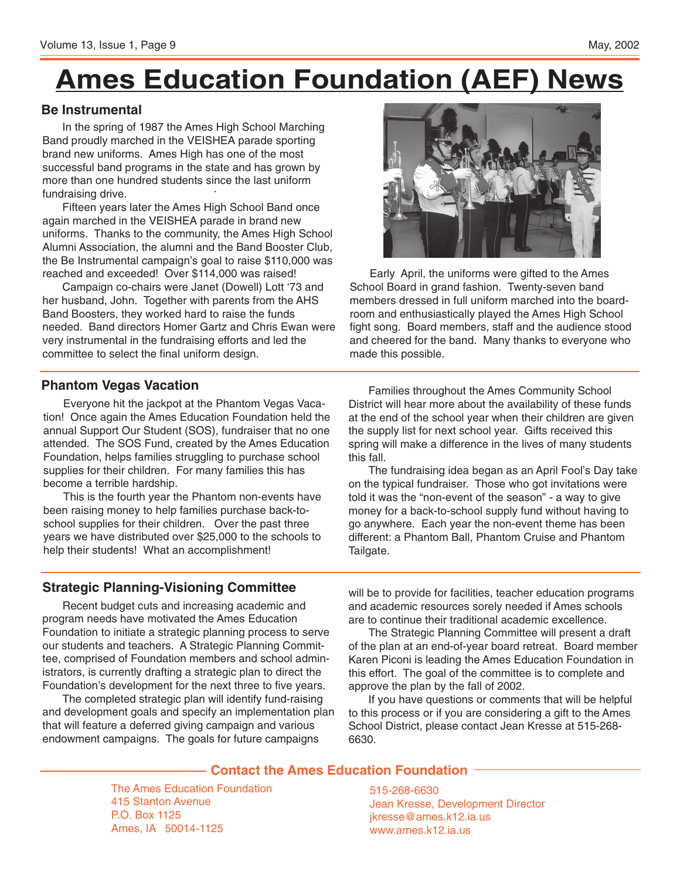# **Ames Education Foundation (AEF) News**

#### **Be Instrumental**

In the spring of 1987 the Ames High School Marching Band proudly marched in the VEISHEA parade sporting brand new uniforms. Ames High has one of the most successful band programs in the state and has grown by more than one hundred students since the last uniform fundraising drive.

Fifteen years later the Ames High School Band once again marched in the VEISHEA parade in brand new uniforms. Thanks to the community, the Ames High School Alumni Association, the alumni and the Band Booster Club, the Be Instrumental campaign's goal to raise \$110,000 was reached and exceeded! Over \$114,000 was raised!

Campaign co-chairs were Janet (Dowell) Lott '73 and her husband, John. Together with parents from the AHS Band Boosters, they worked hard to raise the funds needed. Band directors Homer Gartz and Chris Ewan were very instrumental in the fundraising efforts and led the committee to select the final uniform design.

#### **Phantom Vegas Vacation**

Everyone hit the jackpot at the Phantom Vegas Vacation! Once again the Ames Education Foundation held the annual Support Our Student (SOS), fundraiser that no one attended. The SOS Fund, created by the Ames Education Foundation, helps families struggling to purchase school supplies for their children. For many families this has become a terrible hardship.

This is the fourth year the Phantom non-events have been raising money to help families purchase back-toschool supplies for their children. Over the past three years we have distributed over \$25,000 to the schools to help their students! What an accomplishment!

#### **Strategic Planning-Visioning Committee**

Recent budget cuts and increasing academic and program needs have motivated the Ames Education Foundation to initiate a strategic planning process to serve our students and teachers. A Strategic Planning Committee, comprised of Foundation members and school administrators, is currently drafting a strategic plan to direct the Foundation's development for the next three to five years.

The completed strategic plan will identify fund-raising and development goals and specify an implementation plan that will feature a deferred giving campaign and various endowment campaigns. The goals for future campaigns

will be to provide for facilities, teacher education programs and academic resources sorely needed if Ames schools are to continue their traditional academic excellence.

The Strategic Planning Committee will present a draft of the plan at an end-of-year board retreat. Board member Karen Piconi is leading the Ames Education Foundation in this effort. The goal of the committee is to complete and approve the plan by the fall of 2002.

If you have questions or comments that will be helpful to this process or if you are considering a gift to the Ames School District, please contact Jean Kresse at 515-268- 6630.

#### **Contact the Ames Education Foundation**

The Ames Education Foundation 415 Stanton Avenue P.O. Box 1125 Ames, IA 50014-1125

515-268-6630 Jean Kresse, Development Director jkresse@ames.k12.ia.us www.ames.k12.ia.us



Early April, the uniforms were gifted to the Ames School Board in grand fashion. Twenty-seven band members dressed in full uniform marched into the boardroom and enthusiastically played the Ames High School fight song. Board members, staff and the audience stood and cheered for the band. Many thanks to everyone who made this possible.

Families throughout the Ames Community School District will hear more about the availability of these funds at the end of the school year when their children are given the supply list for next school year. Gifts received this spring will make a difference in the lives of many students this fall.

The fundraising idea began as an April Fool's Day take on the typical fundraiser. Those who got invitations were told it was the "non-event of the season" - a way to give money for a back-to-school supply fund without having to go anywhere. Each year the non-event theme has been different: a Phantom Ball, Phantom Cruise and Phantom Tailgate.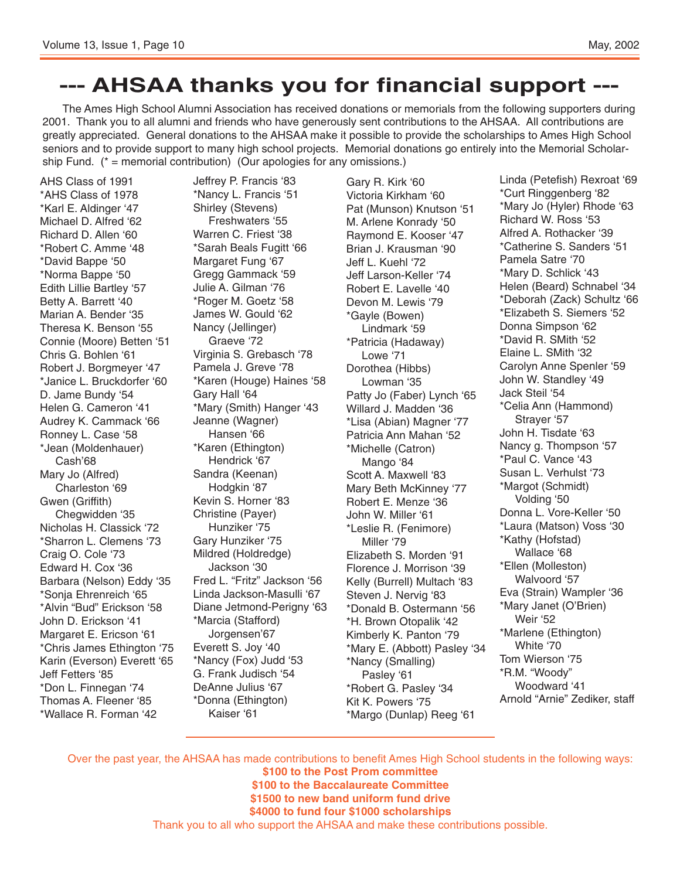## **--- AHSAA thanks you for financial support ---**

The Ames High School Alumni Association has received donations or memorials from the following supporters during 2001. Thank you to all alumni and friends who have generously sent contributions to the AHSAA. All contributions are greatly appreciated. General donations to the AHSAA make it possible to provide the scholarships to Ames High School seniors and to provide support to many high school projects. Memorial donations go entirely into the Memorial Scholarship Fund.  $(* =$  memorial contribution) (Our apologies for any omissions.)

AHS Class of 1991 \*AHS Class of 1978 \*Karl E. Aldinger '47 Michael D. Alfred '62 Richard D. Allen '60 \*Robert C. Amme '48 \*David Bappe '50 \*Norma Bappe '50 Edith Lillie Bartley '57 Betty A. Barrett '40 Marian A. Bender '35 Theresa K. Benson '55 Connie (Moore) Betten '51 Chris G. Bohlen '61 Robert J. Borgmeyer '47 \*Janice L. Bruckdorfer '60 D. Jame Bundy '54 Helen G. Cameron '41 Audrey K. Cammack '66 Ronney L. Case '58 \*Jean (Moldenhauer) Cash'68 Mary Jo (Alfred) Charleston '69 Gwen (Griffith) Chegwidden '35 Nicholas H. Classick '72 \*Sharron L. Clemens '73 Craig O. Cole '73 Edward H. Cox '36 Barbara (Nelson) Eddy '35 \*Sonja Ehrenreich '65 \*Alvin "Bud" Erickson '58 John D. Erickson '41 Margaret E. Ericson '61 \*Chris James Ethington '75 Karin (Everson) Everett '65 Jeff Fetters '85 \*Don L. Finnegan '74 Thomas A. Fleener '85 \*Wallace R. Forman '42

Jeffrey P. Francis '83 \*Nancy L. Francis '51 Shirley (Stevens) Freshwaters '55 Warren C. Friest '38 \*Sarah Beals Fugitt '66 Margaret Fung '67 Gregg Gammack '59 Julie A. Gilman '76 \*Roger M. Goetz '58 James W. Gould '62 Nancy (Jellinger) Graeve '72 Virginia S. Grebasch '78 Pamela J. Greve '78 \*Karen (Houge) Haines '58 Gary Hall '64 \*Mary (Smith) Hanger '43 Jeanne (Wagner) Hansen '66 \*Karen (Ethington) Hendrick '67 Sandra (Keenan) Hodgkin '87 Kevin S. Horner '83 Christine (Payer) Hunziker '75 Gary Hunziker '75 Mildred (Holdredge) Jackson '30 Fred L. "Fritz" Jackson '56 Linda Jackson-Masulli '67 Diane Jetmond-Perigny '63 \*Marcia (Stafford) Jorgensen'67 Everett S. Joy '40 \*Nancy (Fox) Judd '53 G. Frank Judisch '54 DeAnne Julius '67 \*Donna (Ethington) Kaiser '61

Gary R. Kirk '60 Victoria Kirkham '60 Pat (Munson) Knutson '51 M. Arlene Konrady '50 Raymond E. Kooser '47 Brian J. Krausman '90 Jeff L. Kuehl '72 Jeff Larson-Keller '74 Robert E. Lavelle '40 Devon M. Lewis '79 \*Gayle (Bowen) Lindmark '59 \*Patricia (Hadaway) Lowe '71 Dorothea (Hibbs) Lowman '35 Patty Jo (Faber) Lynch '65 Willard J. Madden '36 \*Lisa (Abian) Magner '77 Patricia Ann Mahan '52 \*Michelle (Catron) Mango '84 Scott A. Maxwell '83 Mary Beth McKinney '77 Robert E. Menze '36 John W. Miller '61 \*Leslie R. (Fenimore) Miller '79 Elizabeth S. Morden '91 Florence J. Morrison '39 Kelly (Burrell) Multach '83 Steven J. Nervig '83 \*Donald B. Ostermann '56 \*H. Brown Otopalik '42 Kimberly K. Panton '79 \*Mary E. (Abbott) Pasley '34 \*Nancy (Smalling) Pasley '61 \*Robert G. Pasley '34 Kit K. Powers '75 \*Margo (Dunlap) Reeg '61

Linda (Petefish) Rexroat '69 \*Curt Ringgenberg '82 \*Mary Jo (Hyler) Rhode '63 Richard W. Ross '53 Alfred A. Rothacker '39 \*Catherine S. Sanders '51 Pamela Satre '70 \*Mary D. Schlick '43 Helen (Beard) Schnabel '34 \*Deborah (Zack) Schultz '66 \*Elizabeth S. Siemers '52 Donna Simpson '62 \*David R. SMith '52 Elaine L. SMith '32 Carolyn Anne Spenler '59 John W. Standley '49 Jack Steil '54 \*Celia Ann (Hammond) Strayer '57 John H. Tisdate '63 Nancy g. Thompson '57 \*Paul C. Vance '43 Susan L. Verhulst '73 \*Margot (Schmidt) Volding '50 Donna L. Vore-Keller '50 \*Laura (Matson) Voss '30 \*Kathy (Hofstad) Wallace '68 \*Ellen (Molleston) Walvoord '57 Eva (Strain) Wampler '36 \*Mary Janet (O'Brien) Weir '52 \*Marlene (Ethington) White '70 Tom Wierson '75 \*R.M. "Woody" Woodward '41 Arnold "Arnie" Zediker, staff

Over the past year, the AHSAA has made contributions to benefit Ames High School students in the following ways: **\$100 to the Post Prom committee \$100 to the Baccalaureate Committee \$1500 to new band uniform fund drive \$4000 to fund four \$1000 scholarships** Thank you to all who support the AHSAA and make these contributions possible.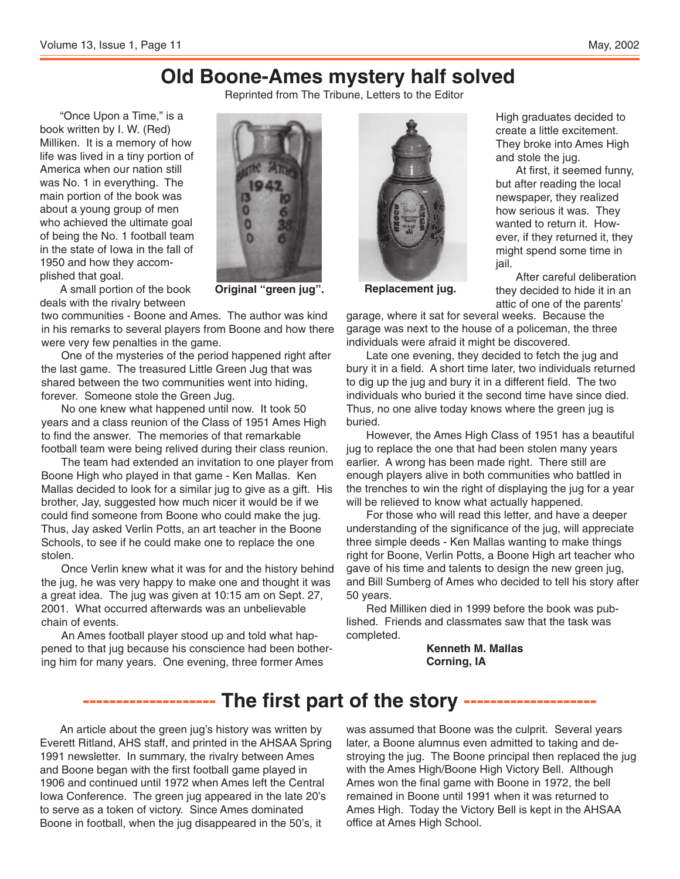High graduates decided to create a little excitement. They broke into Ames High

At first, it seemed funny, but after reading the local newspaper, they realized how serious it was. They wanted to return it. However, if they returned it, they might spend some time in

After careful deliberation they decided to hide it in an

and stole the jug.

### **Old Boone-Ames mystery half solved**

Reprinted from The Tribune, Letters to the Editor

"Once Upon a Time," is a book written by I. W. (Red) Milliken. It is a memory of how life was lived in a tiny portion of America when our nation still was No. 1 in everything. The main portion of the book was about a young group of men who achieved the ultimate goal of being the No. 1 football team in the state of Iowa in the fall of 1950 and how they accomplished that goal.



A small portion of the book deals with the rivalry between

two communities - Boone and Ames. The author was kind in his remarks to several players from Boone and how there were very few penalties in the game.

One of the mysteries of the period happened right after the last game. The treasured Little Green Jug that was shared between the two communities went into hiding, forever. Someone stole the Green Jug.

No one knew what happened until now. It took 50 years and a class reunion of the Class of 1951 Ames High to find the answer. The memories of that remarkable football team were being relived during their class reunion.

The team had extended an invitation to one player from Boone High who played in that game - Ken Mallas. Ken Mallas decided to look for a similar jug to give as a gift. His brother, Jay, suggested how much nicer it would be if we could find someone from Boone who could make the jug. Thus, Jay asked Verlin Potts, an art teacher in the Boone Schools, to see if he could make one to replace the one stolen.

Once Verlin knew what it was for and the history behind the jug, he was very happy to make one and thought it was a great idea. The jug was given at 10:15 am on Sept. 27, 2001. What occurred afterwards was an unbelievable chain of events.

An Ames football player stood up and told what happened to that jug because his conscience had been bothering him for many years. One evening, three former Ames



**Original "green jug". Replacement jug.**

attic of one of the parents' garage, where it sat for several weeks. Because the garage was next to the house of a policeman, the three individuals were afraid it might be discovered.

jail.

Late one evening, they decided to fetch the jug and bury it in a field. A short time later, two individuals returned to dig up the jug and bury it in a different field. The two individuals who buried it the second time have since died. Thus, no one alive today knows where the green jug is buried.

However, the Ames High Class of 1951 has a beautiful jug to replace the one that had been stolen many years earlier. A wrong has been made right. There still are enough players alive in both communities who battled in the trenches to win the right of displaying the jug for a year will be relieved to know what actually happened.

For those who will read this letter, and have a deeper understanding of the significance of the jug, will appreciate three simple deeds - Ken Mallas wanting to make things right for Boone, Verlin Potts, a Boone High art teacher who gave of his time and talents to design the new green jug, and Bill Sumberg of Ames who decided to tell his story after 50 years.

Red Milliken died in 1999 before the book was published. Friends and classmates saw that the task was completed.

> **Kenneth M. Mallas Corning, IA**

### **-------------------- The first part of the story --------------------**

An article about the green jug's history was written by Everett Ritland, AHS staff, and printed in the AHSAA Spring 1991 newsletter. In summary, the rivalry between Ames and Boone began with the first football game played in 1906 and continued until 1972 when Ames left the Central Iowa Conference. The green jug appeared in the late 20's to serve as a token of victory. Since Ames dominated Boone in football, when the jug disappeared in the 50's, it

was assumed that Boone was the culprit. Several years later, a Boone alumnus even admitted to taking and destroying the jug. The Boone principal then replaced the jug with the Ames High/Boone High Victory Bell. Although Ames won the final game with Boone in 1972, the bell remained in Boone until 1991 when it was returned to Ames High. Today the Victory Bell is kept in the AHSAA office at Ames High School.